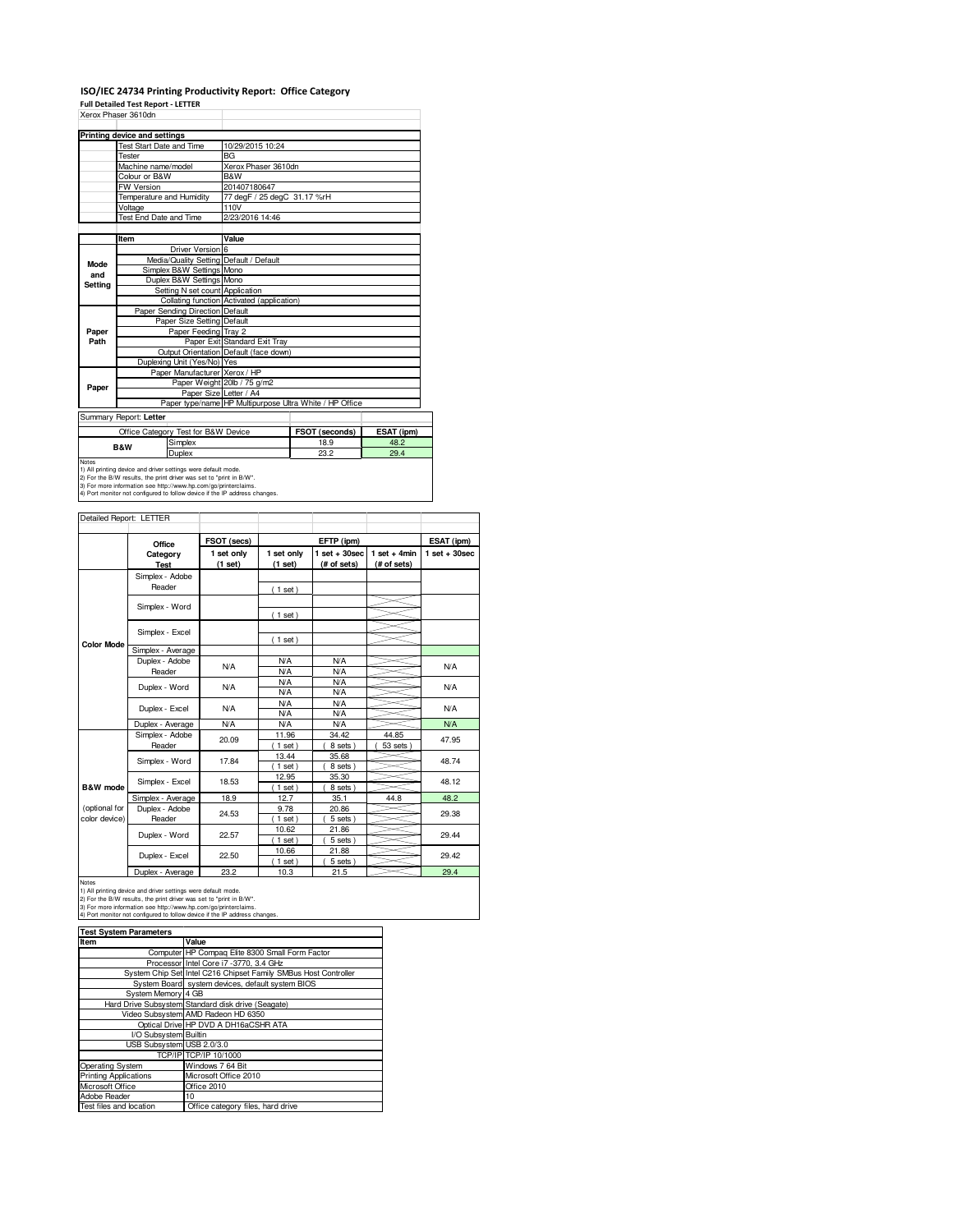## **ISO/IEC 24734 Printing Productivity Report: Office Category**

**Full Detailed Test Report - LETTER**

|         | Xerox Phaser 3610dn                                                        |                                            |                                                         |            |  |
|---------|----------------------------------------------------------------------------|--------------------------------------------|---------------------------------------------------------|------------|--|
|         | Printing device and settings                                               |                                            |                                                         |            |  |
|         | <b>Test Start Date and Time</b>                                            | 10/29/2015 10:24                           |                                                         |            |  |
|         | Tester                                                                     | <b>BG</b>                                  |                                                         |            |  |
|         | Machine name/model                                                         | Xerox Phaser 3610dn                        |                                                         |            |  |
|         | Colour or B&W                                                              | B&W                                        |                                                         |            |  |
|         | FW Version                                                                 | 201407180647                               |                                                         |            |  |
|         | Temperature and Humidity                                                   | 77 degF / 25 degC 31.17 %rH                |                                                         |            |  |
|         | Voltage                                                                    | 110V                                       |                                                         |            |  |
|         | Test End Date and Time                                                     | 2/23/2016 14:46                            |                                                         |            |  |
|         |                                                                            |                                            |                                                         |            |  |
|         | Item                                                                       | Value                                      |                                                         |            |  |
|         | Driver Version 6                                                           |                                            |                                                         |            |  |
| Mode    | Media/Quality Setting Default / Default                                    |                                            |                                                         |            |  |
| and     | Simplex B&W Settings Mono                                                  |                                            |                                                         |            |  |
| Setting | Duplex B&W Settings Mono                                                   |                                            |                                                         |            |  |
|         | Setting N set count Application                                            |                                            |                                                         |            |  |
|         |                                                                            | Collating function Activated (application) |                                                         |            |  |
|         | Paper Sending Direction Default                                            |                                            |                                                         |            |  |
|         | Paper Size Setting Default                                                 |                                            |                                                         |            |  |
| Paper   | Paper Feeding Tray 2                                                       |                                            |                                                         |            |  |
| Path    |                                                                            | Paper Exit Standard Exit Tray              |                                                         |            |  |
|         |                                                                            | Output Orientation Default (face down)     |                                                         |            |  |
|         | Duplexing Unit (Yes/No) Yes                                                |                                            |                                                         |            |  |
|         | Paper Manufacturer Xerox / HP                                              |                                            |                                                         |            |  |
| Paper   |                                                                            | Paper Weight 20lb / 75 g/m2                |                                                         |            |  |
|         | Paper Size Letter / A4                                                     |                                            |                                                         |            |  |
|         |                                                                            |                                            | Paper type/name HP Multipurpose Ultra White / HP Office |            |  |
|         | Summary Report: Letter                                                     |                                            |                                                         |            |  |
|         | Office Category Test for B&W Device                                        |                                            | FSOT (seconds)                                          | ESAT (ipm) |  |
|         | Simplex<br>B&W                                                             |                                            | 18.9                                                    | 48.2       |  |
|         | Duplex                                                                     |                                            | 23.2                                                    | 29.4       |  |
| Notes   | 1) All printing device and driver settings were default mode.              |                                            |                                                         |            |  |
|         | 2) For the B/W results, the print driver was set to "print in B/W".        |                                            |                                                         |            |  |
|         | 3) For more information see http://www.hp.com/go/printerclaims.            |                                            |                                                         |            |  |
|         | 4) Port monitor not configured to follow device if the IP address changes. |                                            |                                                         |            |  |

| Detailed Report: LETTER        |                          |             |                   |                       |                |                 |
|--------------------------------|--------------------------|-------------|-------------------|-----------------------|----------------|-----------------|
|                                |                          |             |                   |                       |                |                 |
|                                | Office                   | FSOT (secs) |                   | EFTP (ipm)            |                | ESAT (ipm)      |
|                                | Category                 | 1 set only  | 1 set only        | $1$ set $+30$ sec     | $1$ set + 4min | $1$ set + 30sec |
|                                | Test                     | (1 set)     | (1 set)           | (# of sets)           | (# of sets)    |                 |
|                                | Simplex - Adobe          |             |                   |                       |                |                 |
|                                | Reader                   |             | (1 set)           |                       |                |                 |
|                                |                          |             |                   |                       |                |                 |
|                                | Simplex - Word           |             | (1 set)           |                       |                |                 |
|                                |                          |             |                   |                       |                |                 |
|                                | Simplex - Excel          |             | (1 set)           |                       |                |                 |
| <b>Color Mode</b>              | Simplex - Average        |             |                   |                       |                |                 |
|                                | Duplex - Adobe           | N/A         | <b>N/A</b>        | <b>N/A</b>            |                | <b>N/A</b>      |
|                                | Reader                   |             | N/A               | N/A                   |                |                 |
|                                | Duplex - Word            | N/A         | <b>N/A</b>        | N/A                   |                | <b>N/A</b>      |
|                                |                          |             | <b>N/A</b>        | <b>N/A</b>            |                |                 |
|                                | Duplex - Excel           | N/A         | <b>N/A</b>        | <b>N/A</b>            |                | <b>N/A</b>      |
|                                |                          |             | <b>N/A</b>        | <b>N/A</b>            |                |                 |
|                                | Duplex - Average         | <b>N/A</b>  | <b>N/A</b>        | <b>N/A</b>            |                | <b>N/A</b>      |
|                                | Simplex - Adobe          | 20.09       | 11.96             | 34.42                 | 44.85          | 47.95           |
|                                | Reader                   |             | $1$ set)          | 8 sets)               | 53 sets        |                 |
|                                | Simplex - Word           | 17.84       | 13.44             | 35.68                 |                | 48.74           |
|                                |                          |             | $1$ set)          | 8 sets)               |                |                 |
|                                | Simplex - Excel          | 18.53       | 12.95             | 35.30                 |                | 48.12           |
| B&W mode                       |                          |             | $1$ set)          | 8 sets)               |                |                 |
|                                | Simplex - Average        | 18.9        | 12.7              | 35.1                  | 44.8           | 48.2            |
| (optional for<br>color device) | Duplex - Adobe<br>Reader | 24.53       | 9.78              | 20.86                 |                | 29.38           |
|                                |                          |             | $1$ set)<br>10.62 | $5$ sets $)$<br>21.86 |                |                 |
|                                | Duplex - Word            | 22.57       | $1$ set)          | 5 sets)               |                | 29.44           |
|                                |                          |             | 10.66             | 21.88                 |                |                 |
|                                | Duplex - Excel           | 22.50       | $1$ set)          | $5$ sets $)$          |                | 29.42           |
|                                | Duplex - Average         | 23.2        | 10.3              | 21.5                  |                | 29.4            |

Notes<br>1) All printing device and driver settings were default mode.<br>2) For the B/W results, the print driver was set to "print in B/W".<br>3) For more information see http://www.hp.com/go/printerclaims.<br>4) Port monitor not co

| <b>Test System Parameters</b> |                                                                 |  |  |  |  |
|-------------------------------|-----------------------------------------------------------------|--|--|--|--|
| Item                          | Value                                                           |  |  |  |  |
|                               | Computer HP Compag Elite 8300 Small Form Factor                 |  |  |  |  |
|                               | Processor Intel Core i7 -3770, 3.4 GHz                          |  |  |  |  |
|                               | System Chip Set Intel C216 Chipset Family SMBus Host Controller |  |  |  |  |
|                               | System Board system devices, default system BIOS                |  |  |  |  |
| System Memory 4 GB            |                                                                 |  |  |  |  |
|                               | Hard Drive Subsystem Standard disk drive (Seagate)              |  |  |  |  |
|                               | Video Subsystem AMD Radeon HD 6350                              |  |  |  |  |
|                               | Optical Drive HP DVD A DH16aCSHR ATA                            |  |  |  |  |
| I/O Subsystem Builtin         |                                                                 |  |  |  |  |
| USB Subsystem USB 2.0/3.0     |                                                                 |  |  |  |  |
|                               | TCP/IP TCP/IP 10/1000                                           |  |  |  |  |
| Operating System              | Windows 7 64 Bit                                                |  |  |  |  |
| <b>Printing Applications</b>  | Microsoft Office 2010                                           |  |  |  |  |
| Microsoft Office              | Office 2010                                                     |  |  |  |  |
| Adobe Reader                  | 10                                                              |  |  |  |  |
| Test files and location       | Office category files, hard drive                               |  |  |  |  |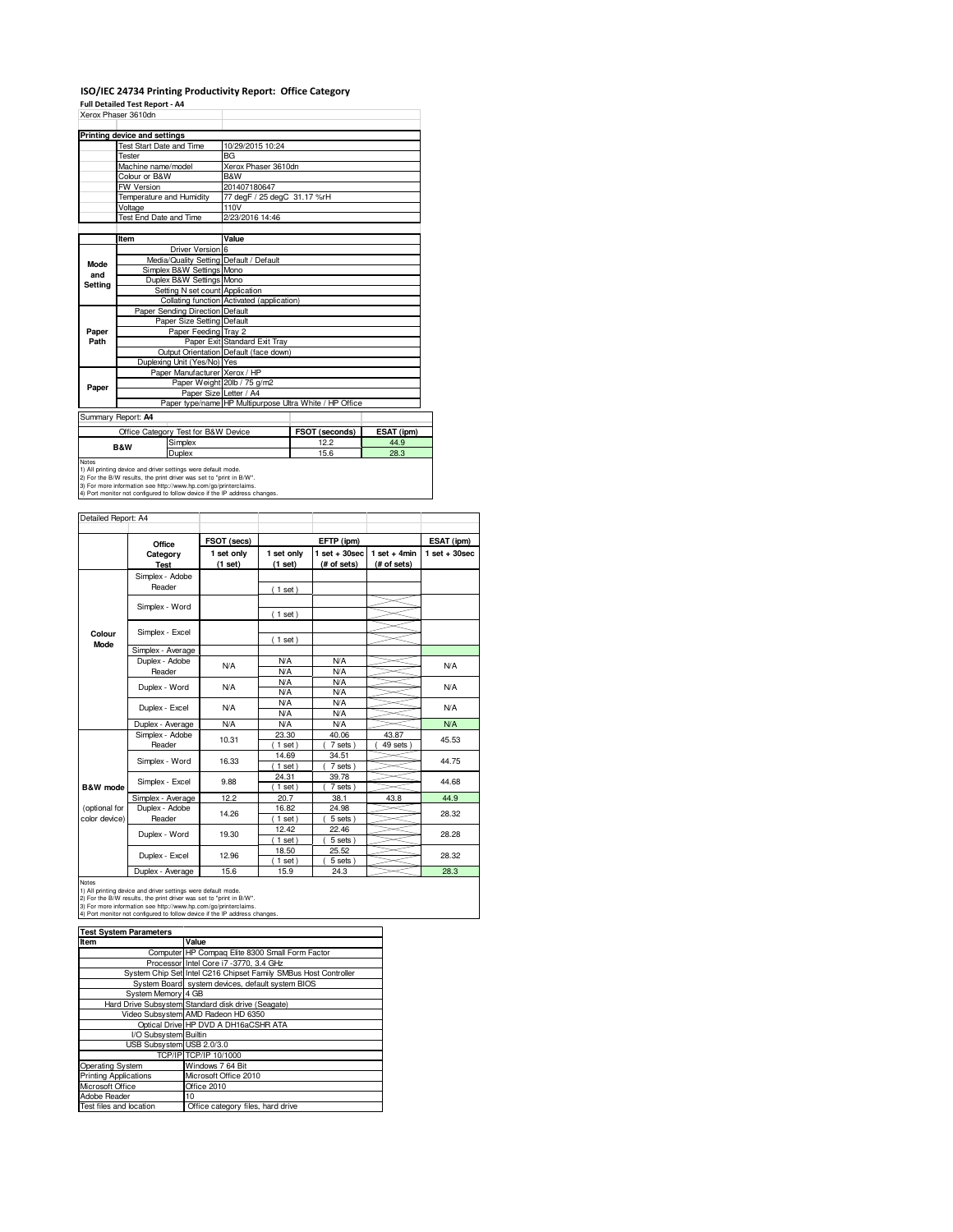## **ISO/IEC 24734 Printing Productivity Report: Office Category**

**Full Detailed Test Report - A4**

|         | Xerox Phaser 3610dn             |                                                              |                                                         |                |            |
|---------|---------------------------------|--------------------------------------------------------------|---------------------------------------------------------|----------------|------------|
|         | Printing device and settings    |                                                              |                                                         |                |            |
|         | <b>Test Start Date and Time</b> |                                                              | 10/29/2015 10:24                                        |                |            |
|         | Tester                          |                                                              | <b>BG</b>                                               |                |            |
|         | Machine name/model              |                                                              | Xerox Phaser 3610dn                                     |                |            |
|         | Colour or B&W                   |                                                              | B&W                                                     |                |            |
|         | FW Version                      |                                                              | 201407180647                                            |                |            |
|         | Temperature and Humidity        |                                                              | 77 degF / 25 degC 31.17 %rH                             |                |            |
|         | Voltage                         |                                                              | 110V                                                    |                |            |
|         | <b>Test End Date and Time</b>   |                                                              | 2/23/2016 14:46                                         |                |            |
|         |                                 |                                                              |                                                         |                |            |
|         | Item                            |                                                              | Value                                                   |                |            |
|         |                                 | Driver Version 6                                             |                                                         |                |            |
| Mode    |                                 |                                                              | Media/Quality Setting Default / Default                 |                |            |
| and     |                                 | Simplex B&W Settings Mono                                    |                                                         |                |            |
| Setting |                                 | Duplex B&W Settings Mono                                     |                                                         |                |            |
|         |                                 | Setting N set count Application                              |                                                         |                |            |
|         |                                 |                                                              | Collating function Activated (application)              |                |            |
|         |                                 | Paper Sending Direction Default                              |                                                         |                |            |
|         |                                 | Paper Size Setting Default                                   |                                                         |                |            |
| Paper   |                                 | Paper Feeding Tray 2                                         |                                                         |                |            |
| Path    |                                 |                                                              | Paper Exit Standard Exit Tray                           |                |            |
|         |                                 |                                                              | Output Orientation Default (face down)                  |                |            |
|         |                                 | Duplexing Unit (Yes/No) Yes<br>Paper Manufacturer Xerox / HP |                                                         |                |            |
|         |                                 |                                                              |                                                         |                |            |
| Paper   |                                 | Paper Size Letter / A4                                       | Paper Weight 20lb / 75 g/m2                             |                |            |
|         |                                 |                                                              | Paper type/name HP Multipurpose Ultra White / HP Office |                |            |
|         |                                 |                                                              |                                                         |                |            |
|         | Summary Report: A4              |                                                              |                                                         |                |            |
|         |                                 | Office Category Test for B&W Device                          |                                                         | FSOT (seconds) | ESAT (ipm) |
|         | <b>B&amp;W</b>                  | Simplex                                                      |                                                         | 12.2           | 44.9       |
|         |                                 | Duplex                                                       |                                                         | 15.6           | 28.3       |
| Notes   |                                 |                                                              |                                                         |                |            |

Notes<br>1) All printing device and driver settings were default mode.<br>2) For the B/W results, the print driver was set to "print in B/W".<br>3) For more information see thtp://www.hp.com/go/printerclaims.<br>4) Port monitor not co

| Detailed Report: A4            |                           |                       |                          |                                  |                               |                   |
|--------------------------------|---------------------------|-----------------------|--------------------------|----------------------------------|-------------------------------|-------------------|
|                                | Office                    | FSOT (secs)           |                          | EFTP (ipm)                       |                               | ESAT (ipm)        |
|                                | Category<br><b>Test</b>   | 1 set only<br>(1 set) | 1 set only<br>(1 set)    | $1$ set $+30$ sec<br>(# of sets) | $1$ set + 4min<br>(# of sets) | $1$ set $+30$ sec |
|                                | Simplex - Adobe<br>Reader |                       | $1$ set)                 |                                  |                               |                   |
|                                | Simplex - Word            |                       | $1$ set)                 |                                  |                               |                   |
| Colour                         | Simplex - Excel           |                       |                          |                                  |                               |                   |
| Mode                           | Simplex - Average         |                       | $1$ set)                 |                                  |                               |                   |
|                                | Duplex - Adobe<br>Reader  | N/A                   | <b>N/A</b><br><b>N/A</b> | <b>N/A</b><br><b>N/A</b>         |                               | N/A               |
|                                | Duplex - Word             | N/A                   | <b>N/A</b><br><b>N/A</b> | <b>N/A</b><br><b>N/A</b>         |                               | <b>N/A</b>        |
|                                | Duplex - Excel            | N/A                   | <b>N/A</b><br><b>N/A</b> | <b>N/A</b><br><b>N/A</b>         |                               | N/A               |
|                                | Duplex - Average          | N/A                   | <b>N/A</b>               | <b>N/A</b>                       |                               | <b>N/A</b>        |
|                                | Simplex - Adobe<br>Reader | 10.31                 | 23.30<br>$1$ set)        | 40.06<br>7 sets)                 | 43.87<br>49 sets              | 45.53             |
|                                | Simplex - Word            | 16.33                 | 14.69<br>$1$ set)        | 34.51<br>7 sets)                 |                               | 44.75             |
| B&W mode                       | Simplex - Excel           | 9.88                  | 24.31<br>$1$ set)        | 39.78<br>7 sets)                 |                               | 44.68             |
|                                | Simplex - Average         | 12.2                  | 20.7                     | 38.1                             | 43.8                          | 44.9              |
| (optional for<br>color device) | Duplex - Adobe<br>Reader  | 14.26                 | 16.82<br>$1$ set)        | 24.98<br>5 sets)                 |                               | 28.32             |
|                                | Duplex - Word             | 19.30                 | 12.42<br>$1$ set)        | 22.46<br>5 sets)                 |                               | 28.28             |
|                                | Duplex - Excel            | 12.96                 | 18.50<br>$1$ set)        | 25.52<br>5 sets)                 |                               | 28.32             |
|                                | Duploy Average            | $E$ $C$               | 150                      | 010                              |                               | 000               |

Duplex - Average | 15.6 | 15.9 | 24.3 28.3<br>
1) All printing device and driver settings were default mode.<br>
2) For the B/W results, the print driver was set to "print in B/W".<br>
3) For more information see http://www.hp.com

| <b>Test System Parameters</b> |                                                                 |  |  |  |
|-------------------------------|-----------------------------------------------------------------|--|--|--|
| Item                          | Value                                                           |  |  |  |
|                               | Computer HP Compag Elite 8300 Small Form Factor                 |  |  |  |
|                               | Processor Intel Core i7 -3770, 3.4 GHz                          |  |  |  |
|                               | System Chip Set Intel C216 Chipset Family SMBus Host Controller |  |  |  |
|                               | System Board system devices, default system BIOS                |  |  |  |
| System Memory 4 GB            |                                                                 |  |  |  |
|                               | Hard Drive Subsystem Standard disk drive (Seagate)              |  |  |  |
|                               | Video Subsystem AMD Radeon HD 6350                              |  |  |  |
|                               | Optical Drive HP DVD A DH16aCSHR ATA                            |  |  |  |
| I/O Subsystem Builtin         |                                                                 |  |  |  |
| USB Subsystem USB 2.0/3.0     |                                                                 |  |  |  |
|                               | TCP/IP TCP/IP 10/1000                                           |  |  |  |
| <b>Operating System</b>       | Windows 7 64 Bit                                                |  |  |  |
| <b>Printing Applications</b>  | Microsoft Office 2010                                           |  |  |  |
| Microsoft Office              | Office 2010                                                     |  |  |  |
| Adobe Reader                  | 10                                                              |  |  |  |
| Test files and location       | Office category files, hard drive                               |  |  |  |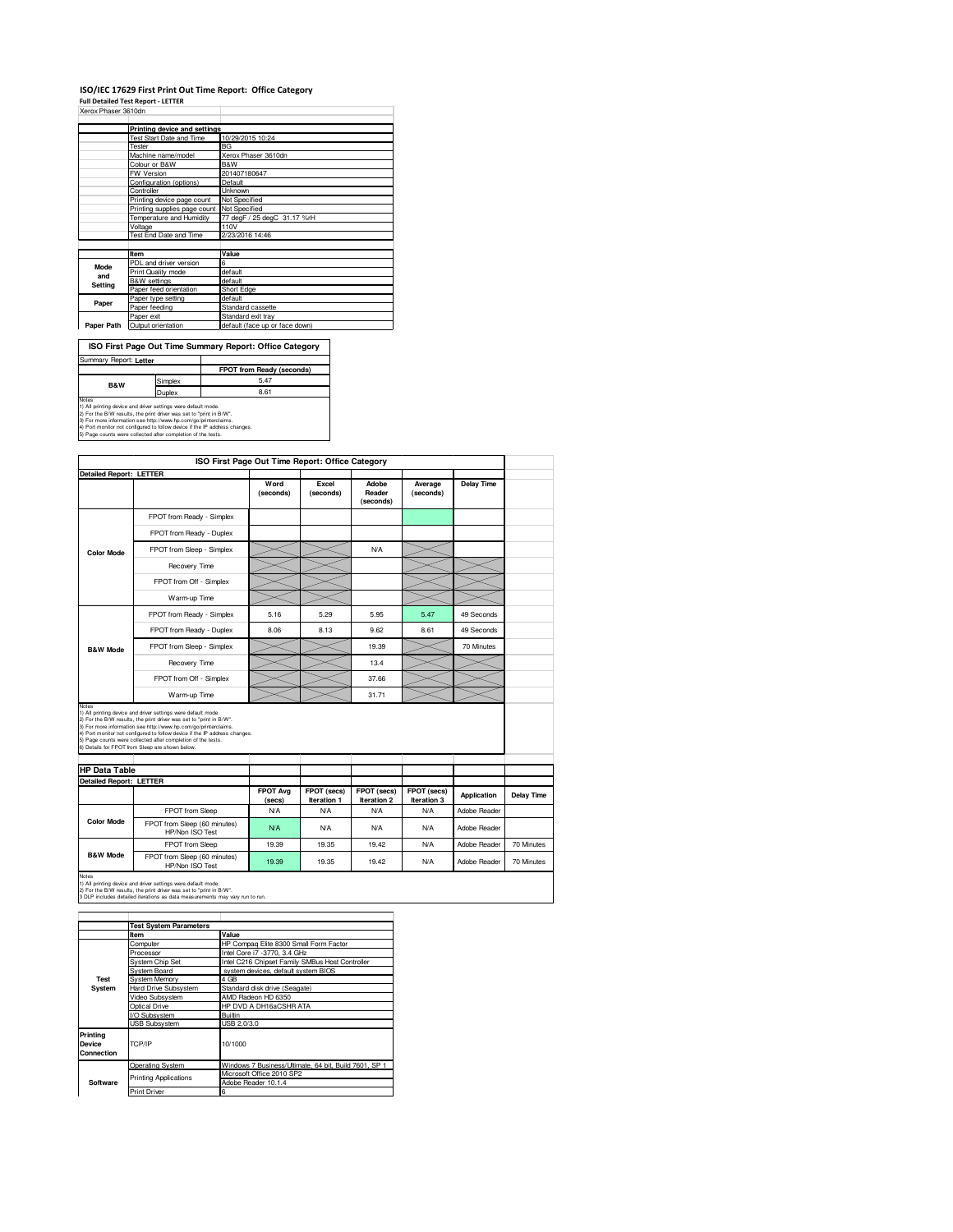## **ISO/IEC 17629 First Print Out Time Report: Office Category Full Detailed Test Report - LETTER**

| Xerox Phaser 3610dn |  |
|---------------------|--|

| логол гваасгоо голг |                                            |                                |
|---------------------|--------------------------------------------|--------------------------------|
|                     |                                            |                                |
|                     | Printing device and settings               |                                |
|                     | Test Start Date and Time                   | 10/29/2015 10:24               |
|                     | Tester                                     | <b>BG</b>                      |
|                     | Machine name/model                         | Xerox Phaser 3610dn            |
|                     | Colour or B&W                              | <b>B&amp;W</b>                 |
|                     | FW Version                                 | 201407180647                   |
|                     | Configuration (options)                    | Default                        |
|                     | Controller                                 | <b>Unknown</b>                 |
|                     | Printing device page count                 | Not Specified                  |
|                     | Printing supplies page count Not Specified |                                |
|                     | Temperature and Humidity                   | 77 degF / 25 degC 31.17 %rH    |
|                     | Voltage                                    | 110V                           |
|                     | Test End Date and Time                     | 2/23/2016 14:46                |
|                     |                                            |                                |
|                     | Item                                       | Value                          |
| Mode                | PDL and driver version                     | 6                              |
|                     | Print Quality mode                         | default                        |
| and                 | <b>B&amp;W</b> settings                    | default                        |
| Setting             | Paper feed orientation                     | Short Edge                     |
|                     | Paper type setting                         | default                        |
| Paper               | Paper feeding                              | Standard cassette              |
|                     | Paper exit                                 | Standard exit tray             |
| Paper Path          | Output orientation                         | default (face up or face down) |

| ISO First Page Out Time Summary Report: Office Category                                                                                                                                                          |         |                                  |  |  |  |
|------------------------------------------------------------------------------------------------------------------------------------------------------------------------------------------------------------------|---------|----------------------------------|--|--|--|
| Summary Report: Letter                                                                                                                                                                                           |         |                                  |  |  |  |
|                                                                                                                                                                                                                  |         | <b>FPOT from Ready (seconds)</b> |  |  |  |
| <b>B&amp;W</b>                                                                                                                                                                                                   | Simplex | 5.47                             |  |  |  |
| <b>Duplex</b>                                                                                                                                                                                                    |         | 8.61                             |  |  |  |
| Notes<br>1) All printing device and driver settings were default mode.<br>2) For the B/W results, the print driver was set to "print in B/W".<br>3) For more information see http://www.hp.com/go/printerclaims. |         |                                  |  |  |  |

3) For more information see http://www.hp.com/go/printerclaims.<br>4) Port monitor not configured to follow device if the IP address changes.<br>5) Page counts were collected after completion of the tests.

| <b>Detailed Report: LETTER</b>                         |                                                                                                                                                                                                                                                                                                                                                                                                          | Word<br>(seconds) | Excel<br>(seconds) | Adobe<br>Reader<br>(seconds) | Average<br>(seconds) | <b>Delay Time</b>            |                   |
|--------------------------------------------------------|----------------------------------------------------------------------------------------------------------------------------------------------------------------------------------------------------------------------------------------------------------------------------------------------------------------------------------------------------------------------------------------------------------|-------------------|--------------------|------------------------------|----------------------|------------------------------|-------------------|
|                                                        | FPOT from Ready - Simplex                                                                                                                                                                                                                                                                                                                                                                                |                   |                    |                              |                      |                              |                   |
|                                                        | FPOT from Ready - Duplex                                                                                                                                                                                                                                                                                                                                                                                 |                   |                    |                              |                      |                              |                   |
| <b>Color Mode</b>                                      | FPOT from Sleep - Simplex                                                                                                                                                                                                                                                                                                                                                                                |                   |                    | N/A                          |                      |                              |                   |
|                                                        | Recovery Time                                                                                                                                                                                                                                                                                                                                                                                            |                   |                    |                              |                      |                              |                   |
|                                                        | FPOT from Off - Simplex                                                                                                                                                                                                                                                                                                                                                                                  |                   |                    |                              |                      |                              |                   |
|                                                        | Warm-up Time                                                                                                                                                                                                                                                                                                                                                                                             |                   |                    |                              |                      |                              |                   |
|                                                        | FPOT from Ready - Simplex                                                                                                                                                                                                                                                                                                                                                                                | 5.16              | 5.29               | 5.95                         | 5.47                 | 49 Seconds                   |                   |
|                                                        | FPOT from Ready - Duplex                                                                                                                                                                                                                                                                                                                                                                                 | 8.06              | 8.13               | 9.62                         | 8.61                 | 49 Seconds                   |                   |
| <b>B&amp;W Mode</b>                                    | FPOT from Sleep - Simplex                                                                                                                                                                                                                                                                                                                                                                                |                   |                    | 19.39                        |                      | 70 Minutes                   |                   |
|                                                        |                                                                                                                                                                                                                                                                                                                                                                                                          |                   |                    |                              |                      |                              |                   |
|                                                        | Recovery Time                                                                                                                                                                                                                                                                                                                                                                                            |                   |                    | 13.4                         |                      |                              |                   |
|                                                        | FPOT from Off - Simplex                                                                                                                                                                                                                                                                                                                                                                                  |                   |                    | 37.66                        |                      |                              |                   |
| Notes                                                  | Warm-up Time                                                                                                                                                                                                                                                                                                                                                                                             |                   |                    | 31.71                        |                      |                              |                   |
| <b>HP Data Table</b><br><b>Detailed Report: LETTER</b> | 1) All printing device and driver settings were default mode.<br>2) For the B/W results, the print driver was set to "print in B/W".<br>3) For more information see http://www.hp.com/go/printerclaims.<br>4) Port monitor not configured to follow device if the IP address changes.<br>5) Page counts were collected after completion of the tests.<br>6) Details for FPOT from Sleep are shown below. | <b>FPOT Avg</b>   | FPOT (secs)        | FPOT (secs)                  | FPOT (secs)          |                              |                   |
|                                                        |                                                                                                                                                                                                                                                                                                                                                                                                          | (secs)            | Iteration 1        | Iteration 2                  | Iteration 3          | Application                  | <b>Delay Time</b> |
| <b>Color Mode</b>                                      | FPOT from Sleep<br>FPOT from Sleep (60 minutes)                                                                                                                                                                                                                                                                                                                                                          | N/A<br>N/A        | N/A<br><b>N/A</b>  | N/A<br>N/A                   | N/A<br>N/A           | Adobe Reader<br>Adobe Reader |                   |
|                                                        | HP/Non ISO Test<br>FPOT from Sleep                                                                                                                                                                                                                                                                                                                                                                       | 19.39             | 19.35              | 19.42                        | N/A                  | Adobe Reader                 | 70 Minutes        |

|                                  | <b>Test System Parameters</b> |                                                       |  |
|----------------------------------|-------------------------------|-------------------------------------------------------|--|
|                                  | Item                          | Value                                                 |  |
|                                  | Computer                      | HP Compag Elite 8300 Small Form Factor                |  |
|                                  | Processor                     | Intel Core i7 -3770, 3.4 GHz                          |  |
|                                  | <b>System Chip Set</b>        | Intel C216 Chipset Family SMBus Host Controller       |  |
|                                  | <b>System Board</b>           | system devices, default system BIOS                   |  |
| Test                             | <b>System Memory</b>          | 4 GB                                                  |  |
| System                           | <b>Hard Drive Subsystem</b>   | Standard disk drive (Seagate)                         |  |
|                                  | Video Subsystem               | AMD Radeon HD 6350                                    |  |
|                                  | Optical Drive                 | HP DVD A DH16aCSHR ATA                                |  |
|                                  | I/O Subsystem                 | <b>Builtin</b>                                        |  |
|                                  | <b>USB Subsystem</b>          | USB 2.0/3.0                                           |  |
| Printina<br>Device<br>Connection | TCP/IP                        | 10/1000                                               |  |
|                                  | <b>Operating System</b>       | Windows 7 Business/Ultimate, 64 bit, Build 7601, SP 1 |  |
|                                  | <b>Printing Applications</b>  | Microsoft Office 2010 SP2                             |  |
| Software                         |                               | Adobe Reader 10.1.4                                   |  |
|                                  | <b>Print Driver</b>           | 6                                                     |  |